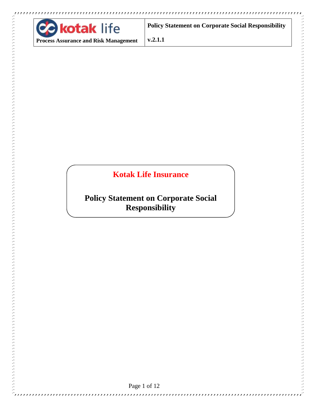

**COLLANS** 

**Policy Statement on Corporate Social Responsibility** 

**v.2.1.1**

# **Kotak Life Insurance**

# **Policy Statement on Corporate Social Responsibility**

Page 1 of 12

31313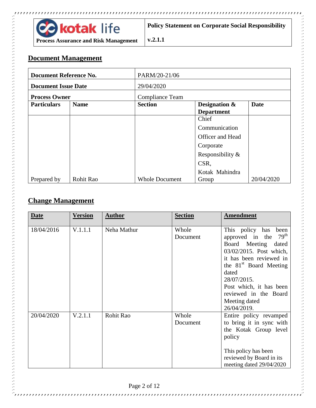

#### **Document Management**

| <b>Document Reference No.</b> |             | PARM/20-21/06          |                                               |             |  |
|-------------------------------|-------------|------------------------|-----------------------------------------------|-------------|--|
| <b>Document Issue Date</b>    |             | 29/04/2020             |                                               |             |  |
| <b>Process Owner</b>          |             | <b>Compliance Team</b> |                                               |             |  |
| <b>Particulars</b>            | <b>Name</b> | <b>Section</b>         | <b>Designation &amp;</b><br><b>Department</b> | <b>Date</b> |  |
|                               |             |                        | Chief                                         |             |  |
|                               |             |                        | Communication                                 |             |  |
|                               |             |                        | Officer and Head                              |             |  |
|                               |             |                        | Corporate                                     |             |  |
|                               |             |                        | Responsibility &                              |             |  |
|                               |             |                        | CSR,                                          |             |  |
|                               |             |                        | Kotak Mahindra                                |             |  |
| Prepared by                   | Rohit Rao   | <b>Whole Document</b>  | Group                                         | 20/04/2020  |  |

**v.2.1.1**

#### **Change Management**

| <b>Date</b> | <b>Version</b> | <b>Author</b> | <b>Section</b>    | <b>Amendment</b>                                                                                                                                                                                                                                                                       |
|-------------|----------------|---------------|-------------------|----------------------------------------------------------------------------------------------------------------------------------------------------------------------------------------------------------------------------------------------------------------------------------------|
| 18/04/2016  | V.1.1.1        | Neha Mathur   | Whole<br>Document | This policy has<br>been<br>$79^{\text{th}}$<br>approved in the<br>Board Meeting<br>dated<br>03/02/2015. Post which,<br>it has been reviewed in<br>the $81st$ Board Meeting<br>dated<br>28/07/2015.<br>Post which, it has been<br>reviewed in the Board<br>Meeting dated<br>26/04/2019. |
| 20/04/2020  | V.2.1.1        | Rohit Rao     | Whole<br>Document | Entire policy revamped<br>to bring it in sync with<br>the Kotak Group level<br>policy<br>This policy has been<br>reviewed by Board in its<br>meeting dated 29/04/2020                                                                                                                  |

Ċ,

,,,,,,,,,,,,,,,,,,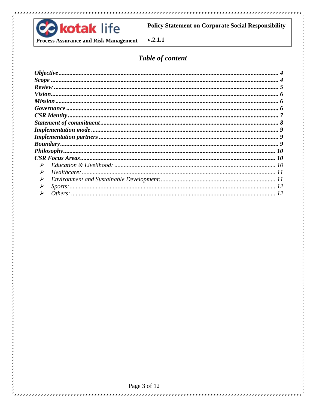

<sup>i</sup>rrrr

**Policy Statement on Corporate Social Responsibility** 

 $v.2.1.1$ 

## Table of content

| $\blacktriangleright$ |  |
|-----------------------|--|
| $\blacktriangleright$ |  |
| $\blacktriangleright$ |  |
| $\blacktriangleright$ |  |
|                       |  |



,,,,,,,,,,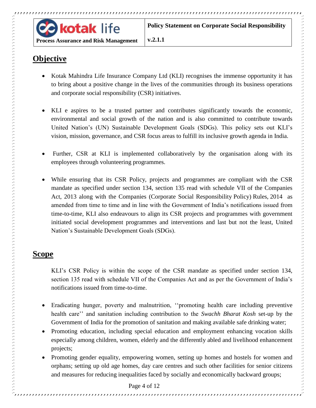

#### **Process Assurance and Risk Management**

**v.2.1.1**

# <span id="page-3-0"></span>**Objective**

- Kotak Mahindra Life Insurance Company Ltd (KLI) recognises the immense opportunity it has to bring about a positive change in the lives of the communities through its business operations and corporate social responsibility (CSR) initiatives.
- KLI e aspires to be a trusted partner and contributes significantly towards the economic, environmental and social growth of the nation and is also committed to contribute towards United Nation's (UN) Sustainable Development Goals (SDGs). This policy sets out KLI's vision, mission, governance, and CSR focus areas to fulfill its inclusive growth agenda in India.
- Further, CSR at KLI is implemented collaboratively by the organisation along with its employees through volunteering programmes.
- While ensuring that its CSR Policy, projects and programmes are compliant with the CSR mandate as specified under section 134, section 135 read with schedule VII of the Companies Act, 2013 along with the Companies (Corporate Social Responsibility Policy) Rules, 2014 as amended from time to time and in line with the Government of India's notifications issued from time-to-time, KLI also endeavours to align its CSR projects and programmes with government initiated social development programmes and interventions and last but not the least, United Nation's Sustainable Development Goals (SDGs).

#### <span id="page-3-1"></span>**Scope**

KLI's CSR Policy is within the scope of the CSR mandate as specified under section 134, section 135 read with schedule VII of the Companies Act and as per the Government of India's notifications issued from time-to-time.

- Eradicating hunger, poverty and malnutrition, ''promoting health care including preventive health care'' and sanitation including contribution to the *Swachh Bharat Kosh* set-up by the Government of India for the promotion of sanitation and making available safe drinking water;
- Promoting education, including special education and employment enhancing vocation skills especially among children, women, elderly and the differently abled and livelihood enhancement projects;
- Promoting gender equality, empowering women, setting up homes and hostels for women and orphans; setting up old age homes, day care centres and such other facilities for senior citizens and measures for reducing inequalities faced by socially and economically backward groups;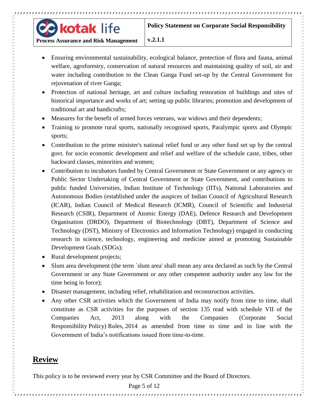

**Process Assurance and Risk Management**

**v.2.1.1**

- Ensuring environmental sustainability, ecological balance, protection of flora and fauna, animal welfare, agroforestry, conservation of natural resources and maintaining quality of soil, air and water including contribution to the Clean Ganga Fund set-up by the Central Government for rejuvenation of river Ganga;
- Protection of national heritage, art and culture including restoration of buildings and sites of historical importance and works of art; setting up public libraries; promotion and development of traditional art and handicrafts;
- Measures for the benefit of armed forces veterans, war widows and their dependents;
- Training to promote rural sports, nationally recognised sports, Paralympic sports and Olympic sports;
- Contribution to the prime minister's national relief fund or any other fund set up by the central govt. for socio economic development and relief and welfare of the schedule caste, tribes, other backward classes, minorities and women;
- Contribution to incubators funded by Central Government or State Government or any agency or Public Sector Undertaking of Central Government or State Government, and contributions to public funded Universities, Indian Institute of Technology (IITs), National Laboratories and Autonomous Bodies (established under the auspices of Indian Council of Agricultural Research (ICAR), Indian Council of Medical Research (ICMR), Council of Scientific and Industrial Research (CSIR), Department of Atomic Energy (DAE), Defence Research and Development Organisation (DRDO), Department of Biotechnology (DBT), Department of Science and Technology (DST), Ministry of Electronics and Information Technology) engaged in conducting research in science, technology, engineering and medicine aimed at promoting Sustainable Development Goals (SDGs);
- Rural development projects;

,,,,,,,,,,,,,,,,,,,,,,,,,

- Slum area development (the term `slum area' shall mean any area declared as such by the Central Government or any State Government or any other competent authority under any law for the time being in force);
- Disaster management, including relief, rehabilitation and reconstruction activities.
- Any other CSR activities which the Government of India may notify from time to time, shall constitute as CSR activities for the purposes of section 135 read with schedule VII of the Companies Act, 2013 along with the Companies (Corporate Social Responsibility Policy) Rules, 2014 as amended from time to time and in line with the Government of India's notifications issued from time-to-time.

#### <span id="page-4-0"></span>**Review**

This policy is to be reviewed every year by CSR Committee and the Board of Directors.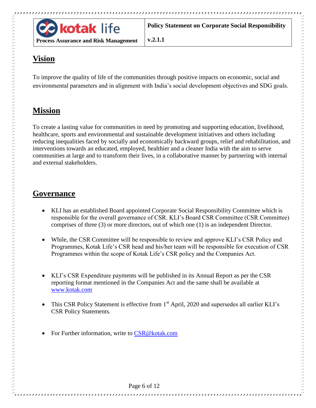

# <span id="page-5-0"></span>**Vision**

To improve the quality of life of the communities through positive impacts on economic, social and environmental parameters and in alignment with India's social development objectives and SDG goals.

**v.2.1.1**

# <span id="page-5-1"></span>**Mission**

To create a lasting value for communities in need by promoting and supporting education, livelihood, healthcare, sports and environmental and sustainable development initiatives and others including reducing inequalities faced by socially and economically backward groups, relief and rehabilitation, and interventions towards an educated, employed, healthier and a cleaner India with the aim to serve communities at large and to transform their lives, in a collaborative manner by partnering with internal and external stakeholders.

### <span id="page-5-2"></span>**Governance**

- KLI has an established Board appointed Corporate Social Responsibility Committee which is responsible for the overall governance of CSR. KLI's Board CSR Committee (CSR Committee) comprises of three (3) or more directors, out of which one (1) is an independent Director.
- While, the CSR Committee will be responsible to review and approve KLI's CSR Policy and Programmes, Kotak Life's CSR head and his/her team will be responsible for execution of CSR Programmes within the scope of Kotak Life's CSR policy and the Companies Act.
- KLI's CSR Expenditure payments will be published in its Annual Report as per the CSR reporting format mentioned in the Companies Act and the same shall be available at [www.kotak.com](http://www.kotak.com/)
- This CSR Policy Statement is effective from 1<sup>st</sup> April, 2020 and supersedes all earlier KLI's CSR Policy Statements.

For Further information, write to [CSR@kotak.com](mailto:CSR@kotak.com)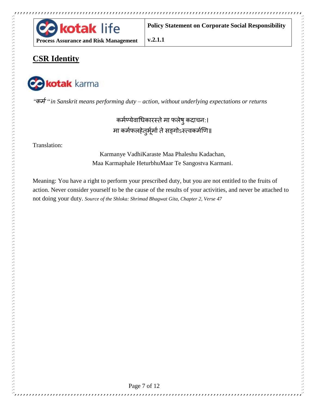

# <span id="page-6-0"></span>**CSR Identity**

**Property of the contract of the contract of the** 



"कर्म" *in Sanskrit means performing duty – action, without underlying expectations or returns*

**v.2.1.1**

कर्मण्येवाधिकारस्ते मा फलेषु कदाचनः। मा कर्मफलहेतुर्भूर्मा ते सङ्गोऽस्त्वकर्मणि॥

Translation:

Karmanye VadhiKaraste Maa Phaleshu Kadachan, Maa Karmaphale HeturbhuMaar Te Sangostva Karmani.

Meaning: You have a right to perform your prescribed duty, but you are not entitled to the fruits of action. Never consider yourself to be the cause of the results of your activities, and never be attached to not doing your duty. *Source of the Shloka: Shrimad Bhagwat Gita, Chapter 2, Verse 47*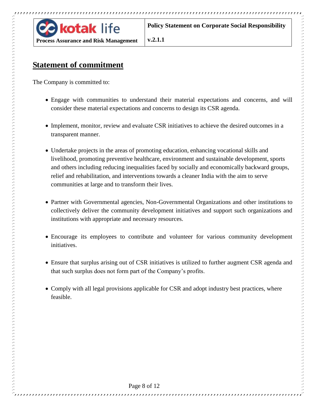

**v.2.1.1**

## <span id="page-7-0"></span>**Statement of commitment**

The Company is committed to:

- Engage with communities to understand their material expectations and concerns, and will consider these material expectations and concerns to design its CSR agenda.
- Implement, monitor, review and evaluate CSR initiatives to achieve the desired outcomes in a transparent manner.
- Undertake projects in the areas of promoting education, enhancing vocational skills and livelihood, promoting preventive healthcare, environment and sustainable development, sports and others including reducing inequalities faced by socially and economically backward groups, relief and rehabilitation, and interventions towards a cleaner India with the aim to serve communities at large and to transform their lives.
- Partner with Governmental agencies, Non-Governmental Organizations and other institutions to collectively deliver the community development initiatives and support such organizations and institutions with appropriate and necessary resources.
- Encourage its employees to contribute and volunteer for various community development initiatives.
- Ensure that surplus arising out of CSR initiatives is utilized to further augment CSR agenda and that such surplus does not form part of the Company's profits.

,,,,,,,,,,,,,,,,,,,,,,,,,,,,,,,,,,,,,,

• Comply with all legal provisions applicable for CSR and adopt industry best practices, where feasible.

,,,,,,,,,,,,,,,,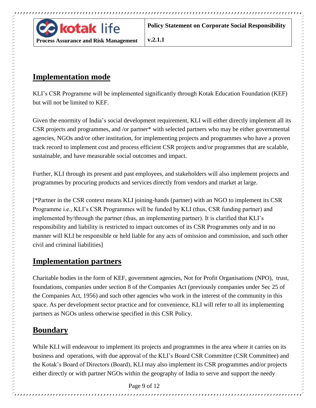

**v.2.1.1**

#### <span id="page-8-0"></span>**Implementation mode**

KLI's CSR Programme will be implemented significantly through Kotak Education Foundation (KEF) but will not be limited to KEF.

Given the enormity of India's social development requirement, KLI will either directly implement all its CSR projects and programmes, and /or partner\* with selected partners who may be either governmental agencies, NGOs and/or other institution, for implementing projects and programmes who have a proven track record to implement cost and process efficient CSR projects and/or programmes that are scalable, sustainable, and have measurable social outcomes and impact.

Further, KLI through its present and past employees, and stakeholders will also implement projects and programmes by procuring products and services directly from vendors and market at large.

[\*Partner in the CSR context means KLI joining-hands (partner) with an NGO to implement its CSR Programme i.e., KLI's CSR Programmes will be funded by KLI (thus, CSR funding partner) and implemented by/through the partner (thus, an implementing partner). It is clarified that KLI's responsibility and liability is restricted to impact outcomes of its CSR Programmes only and in no manner will KLI be responsible or held liable for any acts of omission and commission, and such other civil and criminal liabilities]

### <span id="page-8-1"></span>**Implementation partners**

Charitable bodies in the form of KEF, government agencies, Not for Profit Organisations (NPO), trust, foundations, companies under section 8 of the Companies Act (previously companies under Sec 25 of the Companies Act, 1956) and such other agencies who work in the interest of the community in this space. As per development sector practice and for convenience, KLI will refer to all its implementing partners as NGOs unless otherwise specified in this CSR Policy.

# <span id="page-8-2"></span>**Boundary**

While KLI will endeavour to implement its projects and programmes in the area where it carries on its business and operations, with due approval of the KLI's Board CSR Committee (CSR Committee) and the Kotak's Board of Directors (Board), KLI may also implement its CSR programmes and/or projects either directly or with partner NGOs within the geography of India to serve and support the needy

Page 9 of 12

,,,,,,,,,,,,,,,,,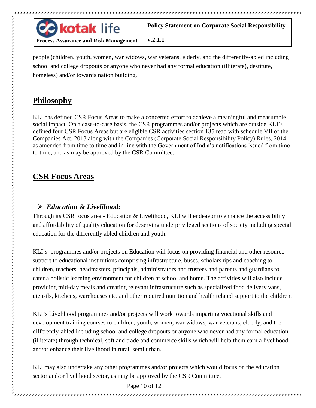

**v.2.1.1**

people (children, youth, women, war widows, war veterans, elderly, and the differently-abled including school and college dropouts or anyone who never had any formal education (illiterate), destitute, homeless) and/or towards nation building.

### <span id="page-9-0"></span>**Philosophy**

KLI has defined CSR Focus Areas to make a concerted effort to achieve a meaningful and measurable social impact. On a case-to-case basis, the CSR programmes and/or projects which are outside KLI's defined four CSR Focus Areas but are eligible CSR activities section 135 read with schedule VII of the Companies Act, 2013 along with the Companies (Corporate Social Responsibility Policy) Rules, 2014 as amended from time to time and in line with the Government of India's notifications issued from timeto-time, and as may be approved by the CSR Committee.

# <span id="page-9-1"></span>**CSR Focus Areas**

#### <span id="page-9-2"></span>*Education & Livelihood:*

Through its CSR focus area - Education & Livelihood, KLI will endeavor to enhance the accessibility and affordability of quality education for deserving underprivileged sections of society including special education for the differently abled children and youth.

KLI's programmes and/or projects on Education will focus on providing financial and other resource support to educational institutions comprising infrastructure, buses, scholarships and coaching to children, teachers, headmasters, principals, administrators and trustees and parents and guardians to cater a holistic learning environment for children at school and home. The activities will also include providing mid-day meals and creating relevant infrastructure such as specialized food delivery vans, utensils, kitchens, warehouses etc. and other required nutrition and health related support to the children.

KLI's Livelihood programmes and/or projects will work towards imparting vocational skills and development training courses to children, youth, women, war widows, war veterans, elderly, and the differently-abled including school and college dropouts or anyone who never had any formal education (illiterate) through technical, soft and trade and commerce skills which will help them earn a livelihood and/or enhance their livelihood in rural, semi urban.

KLI may also undertake any other programmes and/or projects which would focus on the education sector and/or livelihood sector, as may be approved by the CSR Committee.

Page 10 of 12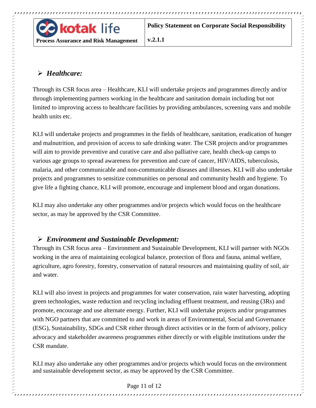

**v.2.1.1**

#### <span id="page-10-0"></span>*Healthcare:*

Through its CSR focus area – Healthcare, KLI will undertake projects and programmes directly and/or through implementing partners working in the healthcare and sanitation domain including but not limited to improving access to healthcare facilities by providing ambulances, screening vans and mobile health units etc.

KLI will undertake projects and programmes in the fields of healthcare, sanitation, eradication of hunger and malnutrition, and provision of access to safe drinking water. The CSR projects and/or programmes will aim to provide preventive and curative care and also palliative care, health check-up camps to various age groups to spread awareness for prevention and cure of cancer, HIV/AIDS, tuberculosis, malaria, and other communicable and non-communicable diseases and illnesses. KLI will also undertake projects and programmes to sensitize communities on personal and community health and hygiene. To give life a fighting chance, KLI will promote, encourage and implement blood and organ donations.

KLI may also undertake any other programmes and/or projects which would focus on the healthcare sector, as may be approved by the CSR Committee.

#### <span id="page-10-1"></span>*Environment and Sustainable Development:*

Through its CSR focus area – Environment and Sustainable Development, KLI will partner with NGOs working in the area of maintaining ecological balance, protection of flora and fauna, animal welfare, agriculture, agro forestry, forestry, conservation of natural resources and maintaining quality of soil, air and water.

KLI will also invest in projects and programmes for water conservation, rain water harvesting, adopting green technologies, waste reduction and recycling including effluent treatment, and reusing (3Rs) and promote, encourage and use alternate energy. Further, KLI will undertake projects and/or programmes with NGO partners that are committed to and work in areas of Environmental, Social and Governance (ESG), Sustainability, SDGs and CSR either through direct activities or in the form of advisory, policy advocacy and stakeholder awareness programmes either directly or with eligible institutions under the CSR mandate.

KLI may also undertake any other programmes and/or projects which would focus on the environment and sustainable development sector, as may be approved by the CSR Committee.

#### Page 11 of 12